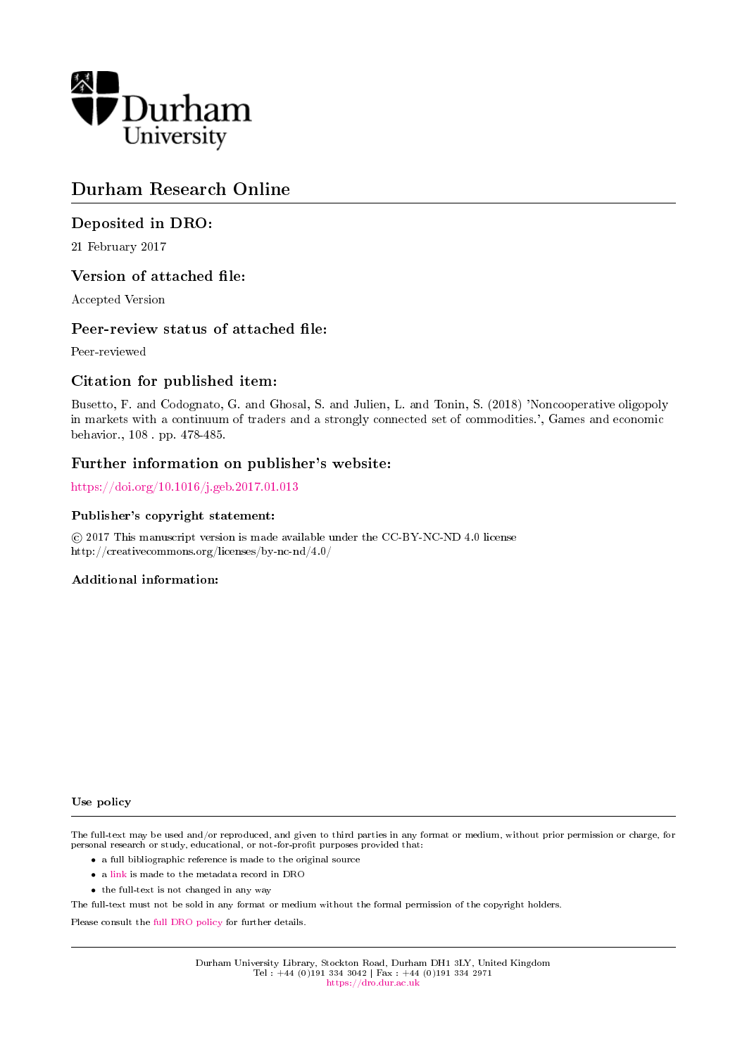

## Durham Research Online

## Deposited in DRO:

21 February 2017

### Version of attached file:

Accepted Version

### Peer-review status of attached file:

Peer-reviewed

### Citation for published item:

Busetto, F. and Codognato, G. and Ghosal, S. and Julien, L. and Tonin, S. (2018) 'Noncooperative oligopoly in markets with a continuum of traders and a strongly connected set of commodities.', Games and economic behavior., 108 . pp. 478-485.

### Further information on publisher's website:

<https://doi.org/10.1016/j.geb.2017.01.013>

### Publisher's copyright statement:

 $\overline{c}$  2017 This manuscript version is made available under the CC-BY-NC-ND 4.0 license http://creativecommons.org/licenses/by-nc-nd/4.0/

### Additional information:

### Use policy

The full-text may be used and/or reproduced, and given to third parties in any format or medium, without prior permission or charge, for personal research or study, educational, or not-for-profit purposes provided that:

- a full bibliographic reference is made to the original source
- a [link](http://dro.dur.ac.uk/21014/) is made to the metadata record in DRO
- the full-text is not changed in any way

The full-text must not be sold in any format or medium without the formal permission of the copyright holders.

Please consult the [full DRO policy](https://dro.dur.ac.uk/policies/usepolicy.pdf) for further details.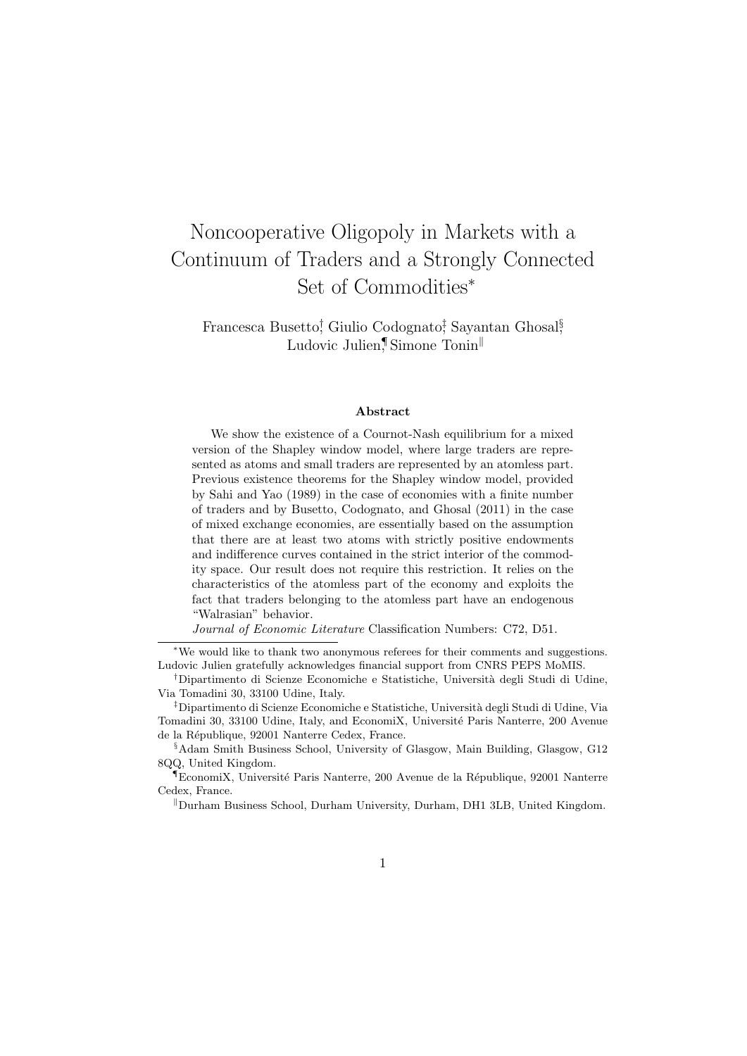# Noncooperative Oligopoly in Markets with a Continuum of Traders and a Strongly Connected Set of Commodities<sup>∗</sup>

Francesca Busetto<sup>†</sup>, Giulio Codognato<sup>†</sup>, Sayantan Ghosal<sup>§</sup>, Ludovic Julien, Simone Tonin

#### Abstract

We show the existence of a Cournot-Nash equilibrium for a mixed version of the Shapley window model, where large traders are represented as atoms and small traders are represented by an atomless part. Previous existence theorems for the Shapley window model, provided by Sahi and Yao (1989) in the case of economies with a finite number of traders and by Busetto, Codognato, and Ghosal (2011) in the case of mixed exchange economies, are essentially based on the assumption that there are at least two atoms with strictly positive endowments and indifference curves contained in the strict interior of the commodity space. Our result does not require this restriction. It relies on the characteristics of the atomless part of the economy and exploits the fact that traders belonging to the atomless part have an endogenous "Walrasian" behavior.

Journal of Economic Literature Classification Numbers: C72, D51.

<sup>∗</sup>We would like to thank two anonymous referees for their comments and suggestions. Ludovic Julien gratefully acknowledges financial support from CNRS PEPS MoMIS.

<sup>†</sup>Dipartimento di Scienze Economiche e Statistiche, Universit`a degli Studi di Udine, Via Tomadini 30, 33100 Udine, Italy.

<sup>‡</sup>Dipartimento di Scienze Economiche e Statistiche, Universit`a degli Studi di Udine, Via Tomadini 30, 33100 Udine, Italy, and EconomiX, Université Paris Nanterre, 200 Avenue de la République, 92001 Nanterre Cedex, France.

<sup>§</sup>Adam Smith Business School, University of Glasgow, Main Building, Glasgow, G12 8QQ, United Kingdom.

 $\P$ EconomiX, Université Paris Nanterre, 200 Avenue de la République, 92001 Nanterre Cedex, France.

 $\parallel$ Durham Business School, Durham University, Durham, DH1 3LB, United Kingdom.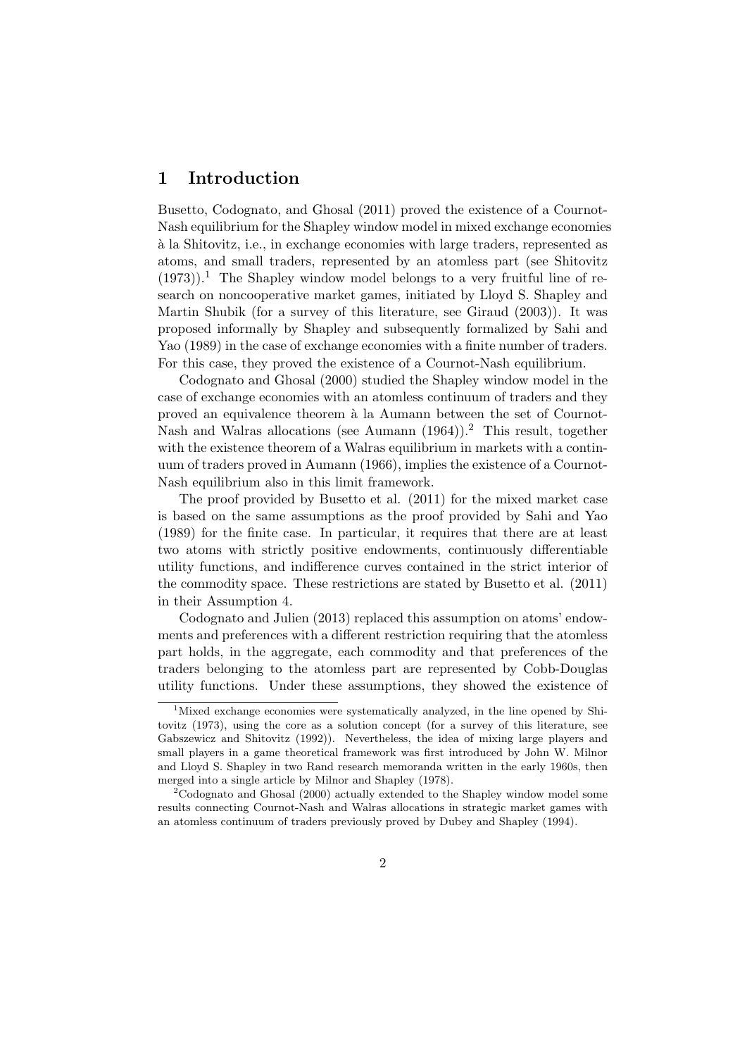### 1 Introduction

Busetto, Codognato, and Ghosal (2011) proved the existence of a Cournot-Nash equilibrium for the Shapley window model in mixed exchange economies `a la Shitovitz, i.e., in exchange economies with large traders, represented as atoms, and small traders, represented by an atomless part (see Shitovitz  $(1973)$ .<sup>1</sup> The Shapley window model belongs to a very fruitful line of research on noncooperative market games, initiated by Lloyd S. Shapley and Martin Shubik (for a survey of this literature, see Giraud (2003)). It was proposed informally by Shapley and subsequently formalized by Sahi and Yao (1989) in the case of exchange economies with a finite number of traders. For this case, they proved the existence of a Cournot-Nash equilibrium.

Codognato and Ghosal (2000) studied the Shapley window model in the case of exchange economies with an atomless continuum of traders and they proved an equivalence theorem à la Aumann between the set of Cournot-Nash and Walras allocations (see Aumann (1964)).<sup>2</sup> This result, together with the existence theorem of a Walras equilibrium in markets with a continuum of traders proved in Aumann (1966), implies the existence of a Cournot-Nash equilibrium also in this limit framework.

The proof provided by Busetto et al. (2011) for the mixed market case is based on the same assumptions as the proof provided by Sahi and Yao (1989) for the finite case. In particular, it requires that there are at least two atoms with strictly positive endowments, continuously differentiable utility functions, and indifference curves contained in the strict interior of the commodity space. These restrictions are stated by Busetto et al. (2011) in their Assumption 4.

Codognato and Julien (2013) replaced this assumption on atoms' endowments and preferences with a different restriction requiring that the atomless part holds, in the aggregate, each commodity and that preferences of the traders belonging to the atomless part are represented by Cobb-Douglas utility functions. Under these assumptions, they showed the existence of

<sup>&</sup>lt;sup>1</sup>Mixed exchange economies were systematically analyzed, in the line opened by Shitovitz (1973), using the core as a solution concept (for a survey of this literature, see Gabszewicz and Shitovitz (1992)). Nevertheless, the idea of mixing large players and small players in a game theoretical framework was first introduced by John W. Milnor and Lloyd S. Shapley in two Rand research memoranda written in the early 1960s, then merged into a single article by Milnor and Shapley (1978).

 $2^2$ Codognato and Ghosal (2000) actually extended to the Shapley window model some results connecting Cournot-Nash and Walras allocations in strategic market games with an atomless continuum of traders previously proved by Dubey and Shapley (1994).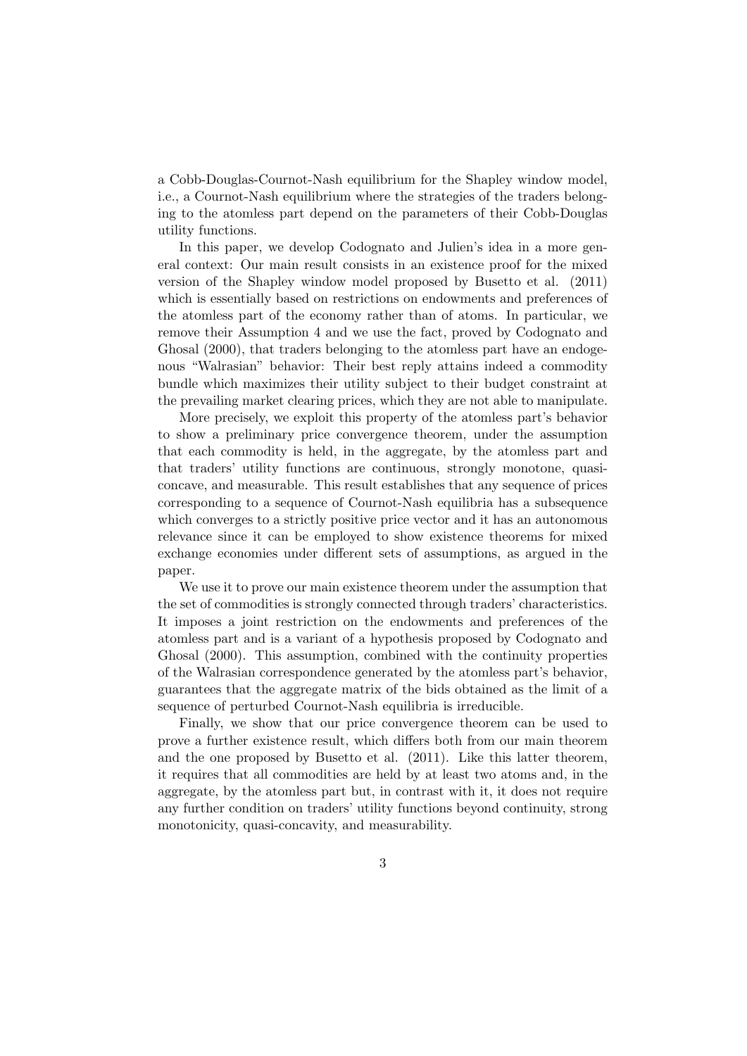a Cobb-Douglas-Cournot-Nash equilibrium for the Shapley window model, i.e., a Cournot-Nash equilibrium where the strategies of the traders belonging to the atomless part depend on the parameters of their Cobb-Douglas utility functions.

In this paper, we develop Codognato and Julien's idea in a more general context: Our main result consists in an existence proof for the mixed version of the Shapley window model proposed by Busetto et al. (2011) which is essentially based on restrictions on endowments and preferences of the atomless part of the economy rather than of atoms. In particular, we remove their Assumption 4 and we use the fact, proved by Codognato and Ghosal (2000), that traders belonging to the atomless part have an endogenous "Walrasian" behavior: Their best reply attains indeed a commodity bundle which maximizes their utility subject to their budget constraint at the prevailing market clearing prices, which they are not able to manipulate.

More precisely, we exploit this property of the atomless part's behavior to show a preliminary price convergence theorem, under the assumption that each commodity is held, in the aggregate, by the atomless part and that traders' utility functions are continuous, strongly monotone, quasiconcave, and measurable. This result establishes that any sequence of prices corresponding to a sequence of Cournot-Nash equilibria has a subsequence which converges to a strictly positive price vector and it has an autonomous relevance since it can be employed to show existence theorems for mixed exchange economies under different sets of assumptions, as argued in the paper.

We use it to prove our main existence theorem under the assumption that the set of commodities is strongly connected through traders' characteristics. It imposes a joint restriction on the endowments and preferences of the atomless part and is a variant of a hypothesis proposed by Codognato and Ghosal (2000). This assumption, combined with the continuity properties of the Walrasian correspondence generated by the atomless part's behavior, guarantees that the aggregate matrix of the bids obtained as the limit of a sequence of perturbed Cournot-Nash equilibria is irreducible.

Finally, we show that our price convergence theorem can be used to prove a further existence result, which differs both from our main theorem and the one proposed by Busetto et al. (2011). Like this latter theorem, it requires that all commodities are held by at least two atoms and, in the aggregate, by the atomless part but, in contrast with it, it does not require any further condition on traders' utility functions beyond continuity, strong monotonicity, quasi-concavity, and measurability.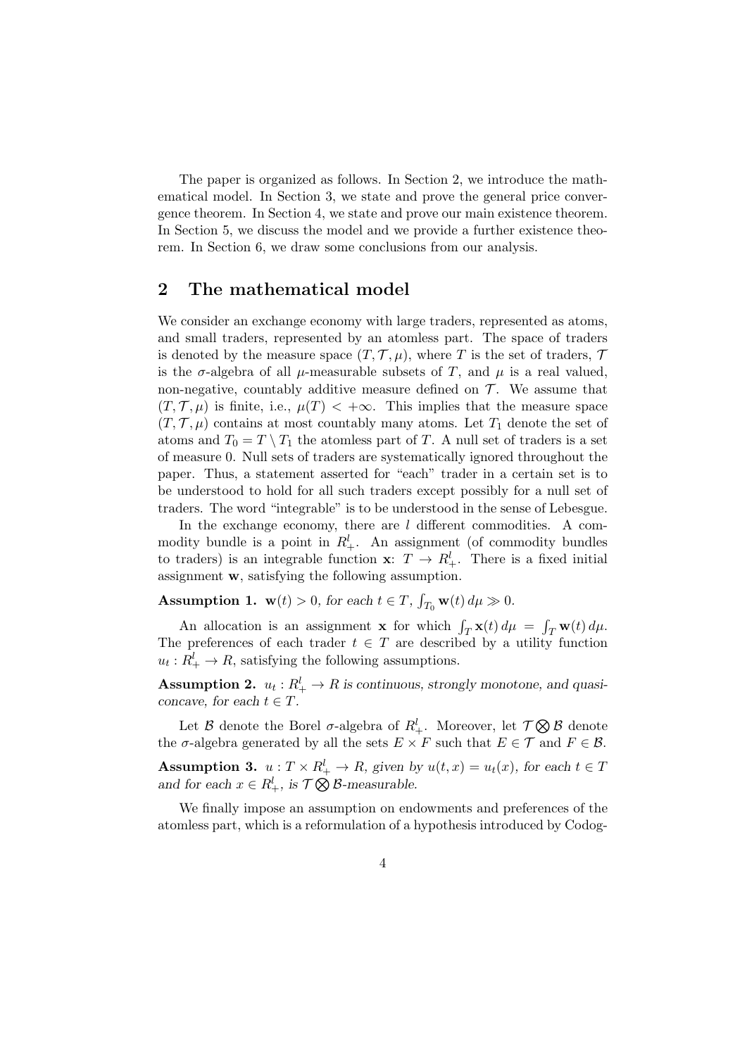The paper is organized as follows. In Section 2, we introduce the mathematical model. In Section 3, we state and prove the general price convergence theorem. In Section 4, we state and prove our main existence theorem. In Section 5, we discuss the model and we provide a further existence theorem. In Section 6, we draw some conclusions from our analysis.

### 2 The mathematical model

We consider an exchange economy with large traders, represented as atoms, and small traders, represented by an atomless part. The space of traders is denoted by the measure space  $(T, \mathcal{T}, \mu)$ , where T is the set of traders, T is the  $\sigma$ -algebra of all  $\mu$ -measurable subsets of T, and  $\mu$  is a real valued, non-negative, countably additive measure defined on  $\mathcal T$ . We assume that  $(T, \mathcal{T}, \mu)$  is finite, i.e.,  $\mu(T) < +\infty$ . This implies that the measure space  $(T, \mathcal{T}, \mu)$  contains at most countably many atoms. Let  $T_1$  denote the set of atoms and  $T_0 = T \setminus T_1$  the atomless part of T. A null set of traders is a set of measure 0. Null sets of traders are systematically ignored throughout the paper. Thus, a statement asserted for "each" trader in a certain set is to be understood to hold for all such traders except possibly for a null set of traders. The word "integrable" is to be understood in the sense of Lebesgue.

In the exchange economy, there are  $l$  different commodities. A commodity bundle is a point in  $R_+^l$ . An assignment (of commodity bundles to traders) is an integrable function  $\mathbf{x}$ :  $T \to R_+^l$ . There is a fixed initial assignment w, satisfying the following assumption.

**Assumption 1.**  $\mathbf{w}(t) > 0$ , for each  $t \in T$ ,  $\int_{T_0} \mathbf{w}(t) d\mu \gg 0$ .

An allocation is an assignment **x** for which  $\int_T \mathbf{x}(t) d\mu = \int_T \mathbf{w}(t) d\mu$ . The preferences of each trader  $t \in T$  are described by a utility function  $u_t: R_+^l \to R$ , satisfying the following assumptions.

**Assumption 2.**  $u_t: R_+^l \to R$  is continuous, strongly monotone, and quasiconcave, for each  $t \in T$ .

Let  $\mathcal B$  denote the Borel  $\sigma$ -algebra of  $R_+^l$ . Moreover, let  $\mathcal T\bigotimes\mathcal B$  denote the  $\sigma$ -algebra generated by all the sets  $E \times F$  such that  $E \in \mathcal{T}$  and  $F \in \mathcal{B}$ .

**Assumption 3.**  $u: T \times R_+^l \to R$ , given by  $u(t,x) = u_t(x)$ , for each  $t \in T$ and for each  $x \in R_+^l$ , is  $\mathcal{T} \bigotimes \mathcal{B}$ -measurable.

We finally impose an assumption on endowments and preferences of the atomless part, which is a reformulation of a hypothesis introduced by Codog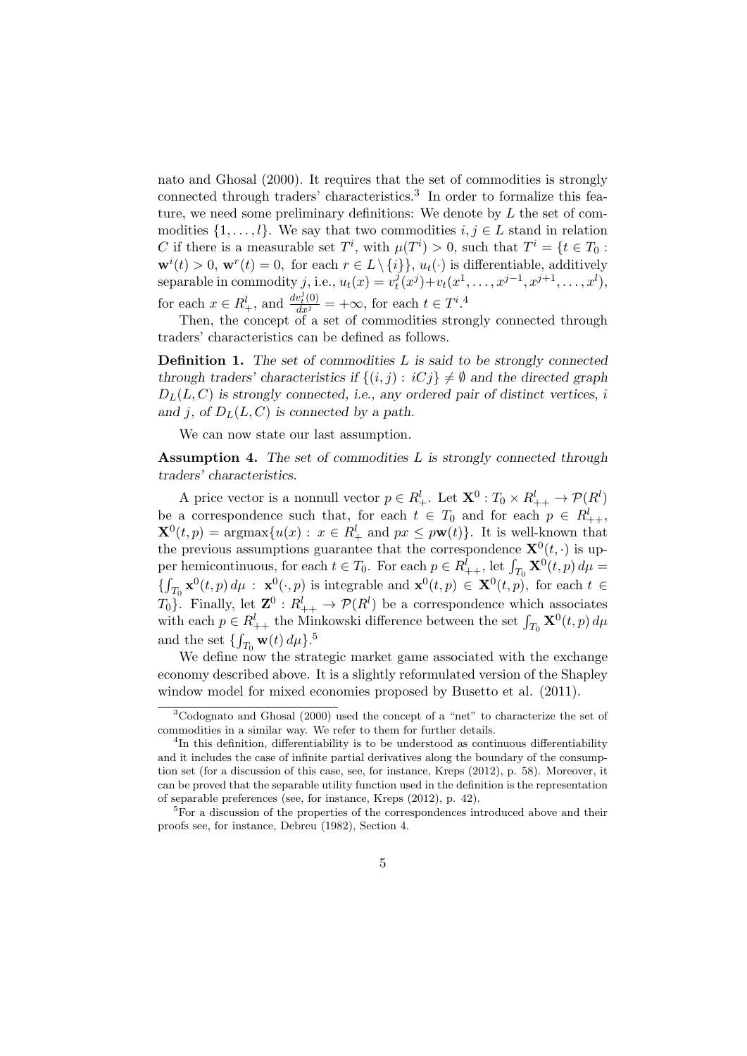nato and Ghosal (2000). It requires that the set of commodities is strongly connected through traders' characteristics.<sup>3</sup> In order to formalize this feature, we need some preliminary definitions: We denote by  $L$  the set of commodities  $\{1, \ldots, l\}$ . We say that two commodities  $i, j \in L$  stand in relation C if there is a measurable set  $T^i$ , with  $\mu(T^i) > 0$ , such that  $T^i = \{t \in T_0 :$  $\mathbf{w}^{i}(t) > 0$ ,  $\mathbf{w}^{r}(t) = 0$ , for each  $r \in L \setminus \{i\}$ ,  $u_{t}(\cdot)$  is differentiable, additively separable in commodity j, i.e.,  $u_t(x) = v_t^j$  $t^j_t(x^j) + v_t(x^1, \ldots, x^{j-1}, x^{j+1}, \ldots, x^l),$ for each  $x \in R_+^l$ , and  $\frac{dv_t^j(0)}{dx^j} = +\infty$ , for each  $t \in T^i$ .<sup>4</sup>

Then, the concept of a set of commodities strongly connected through traders' characteristics can be defined as follows.

**Definition 1.** The set of commodities  $L$  is said to be strongly connected through traders' characteristics if  $\{(i, j) : iC_j\} \neq \emptyset$  and the directed graph  $D_L(L, C)$  is strongly connected, i.e., any ordered pair of distinct vertices, i and j, of  $D<sub>L</sub>(L, C)$  is connected by a path.

We can now state our last assumption.

Assumption 4. The set of commodities  $L$  is strongly connected through traders' characteristics.

A price vector is a nonnull vector  $p \in R_+^l$ . Let  $\mathbf{X}^0$  :  $T_0 \times R_{++}^l \to \mathcal{P}(R^l)$ be a correspondence such that, for each  $t \in T_0$  and for each  $p \in R^l_{++}$ ,  $\mathbf{X}^0(t,p) = \operatorname{argmax} \{ u(x) : x \in R_+^l \text{ and } px \leq p\mathbf{w}(t) \}.$  It is well-known that the previous assumptions guarantee that the correspondence  $\mathbf{X}^{0}(t, \cdot)$  is upper hemicontinuous, for each  $t \in T_0$ . For each  $p \in R_{++}^l$ , let  $\int_{T_0} \mathbf{X}^0(t, p) d\mu =$  $\{\int_{T_0} \mathbf{x}^0(t, p) d\mu : \mathbf{x}^0(\cdot, p)$  is integrable and  $\mathbf{x}^0(t, p) \in \mathbf{X}^0(t, p)$ , for each  $t \in$  $T_0$ }. Finally, let  $\mathbf{Z}^0: R_{++}^l \to \mathcal{P}(R^l)$  be a correspondence which associates with each  $p \in R_{++}^l$  the Minkowski difference between the set  $\int_{T_0} \mathbf{X}^0(t, p) d\mu$ and the set  $\{\int_{T_0} \mathbf{w}(t) d\mu\}$ .<sup>5</sup>

We define now the strategic market game associated with the exchange economy described above. It is a slightly reformulated version of the Shapley window model for mixed economies proposed by Busetto et al. (2011).

<sup>3</sup>Codognato and Ghosal (2000) used the concept of a "net" to characterize the set of commodities in a similar way. We refer to them for further details.

<sup>&</sup>lt;sup>4</sup>In this definition, differentiability is to be understood as continuous differentiability and it includes the case of infinite partial derivatives along the boundary of the consumption set (for a discussion of this case, see, for instance, Kreps (2012), p. 58). Moreover, it can be proved that the separable utility function used in the definition is the representation of separable preferences (see, for instance, Kreps (2012), p. 42).

<sup>&</sup>lt;sup>5</sup>For a discussion of the properties of the correspondences introduced above and their proofs see, for instance, Debreu (1982), Section 4.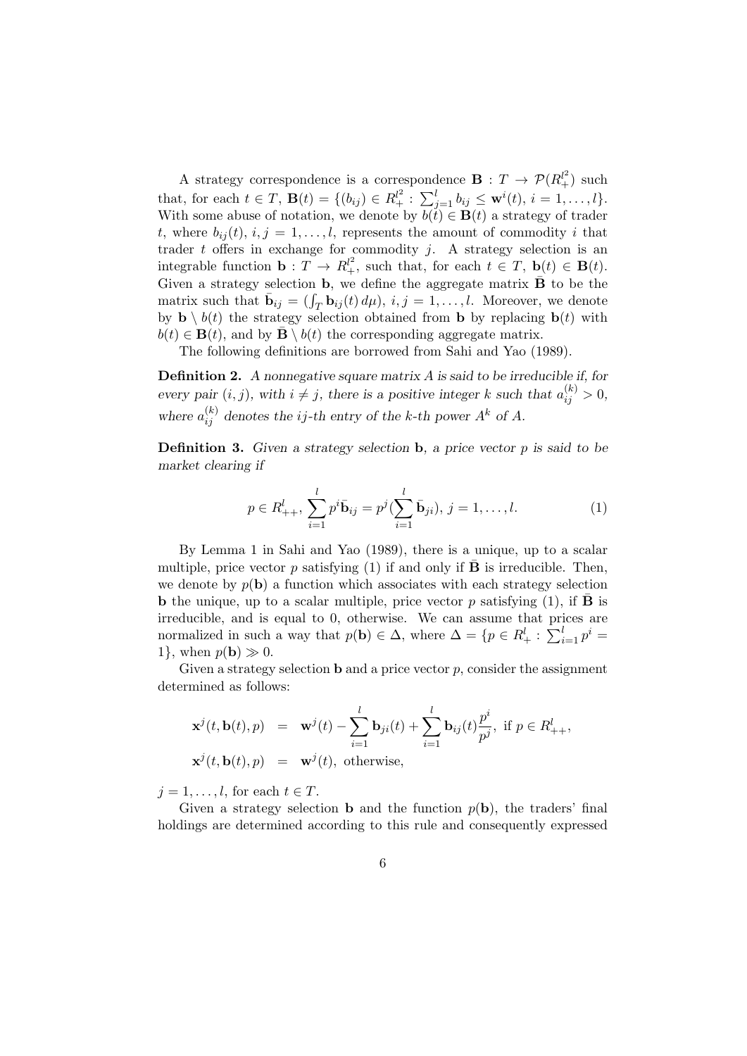A strategy correspondence is a correspondence  $\mathbf{B}: T \to \mathcal{P}(R_+^{l^2})$  such that, for each  $t \in T$ ,  $\mathbf{B}(t) = \{ (b_{ij}) \in R_+^{l^2} : \sum_{j=1}^l b_{ij} \leq \mathbf{w}^i(t), i = 1, ..., l \}.$ With some abuse of notation, we denote by  $b(t) \in \mathbf{B}(t)$  a strategy of trader t, where  $b_{ij}(t), i, j = 1, \ldots, l$ , represents the amount of commodity i that trader  $t$  offers in exchange for commodity  $j$ . A strategy selection is an integrable function  $\mathbf{b}: T \to R_+^{\ell^2}$ , such that, for each  $t \in T$ ,  $\mathbf{b}(t) \in \mathbf{B}(t)$ . Given a strategy selection **b**, we define the aggregate matrix  $\overline{B}$  to be the matrix such that  $\bar{\mathbf{b}}_{ij} = (\int_T \mathbf{b}_{ij}(t) d\mu), i, j = 1, \ldots, l$ . Moreover, we denote by  $\mathbf{b} \setminus b(t)$  the strategy selection obtained from **b** by replacing  $\mathbf{b}(t)$  with  $b(t) \in \mathbf{B}(t)$ , and by  $\mathbf{B} \setminus b(t)$  the corresponding aggregate matrix.

The following definitions are borrowed from Sahi and Yao (1989).

Definition 2. A nonnegative square matrix A is said to be irreducible if, for every pair  $(i, j)$ , with  $i \neq j$ , there is a positive integer k such that  $a_{ij}^{(k)} > 0$ , where  $a_{ij}^{(k)}$  denotes the *ij*-th entry of the *k*-th power  $A^k$  of  $A$ .

**Definition 3.** Given a strategy selection  $\mathbf{b}$ , a price vector p is said to be market clearing if

$$
p \in R_{++}^l, \sum_{i=1}^l p^i \bar{\mathbf{b}}_{ij} = p^j(\sum_{i=1}^l \bar{\mathbf{b}}_{ji}), j = 1, \dots, l.
$$
 (1)

By Lemma 1 in Sahi and Yao (1989), there is a unique, up to a scalar multiple, price vector p satisfying (1) if and only if  $\overline{B}$  is irreducible. Then, we denote by  $p(\mathbf{b})$  a function which associates with each strategy selection **b** the unique, up to a scalar multiple, price vector p satisfying  $(1)$ , if **B** is irreducible, and is equal to 0, otherwise. We can assume that prices are normalized in such a way that  $p(\mathbf{b}) \in \Delta$ , where  $\Delta = \{p \in R_+^l : \sum_{i=1}^l p^i = \Delta\}$ 1}, when  $p(\mathbf{b}) \gg 0$ .

Given a strategy selection **b** and a price vector  $p$ , consider the assignment determined as follows:

$$
\mathbf{x}^{j}(t, \mathbf{b}(t), p) = \mathbf{w}^{j}(t) - \sum_{i=1}^{l} \mathbf{b}_{ji}(t) + \sum_{i=1}^{l} \mathbf{b}_{ij}(t) \frac{p^{i}}{p^{j}}, \text{ if } p \in R_{++}^{l},
$$
  

$$
\mathbf{x}^{j}(t, \mathbf{b}(t), p) = \mathbf{w}^{j}(t), \text{ otherwise},
$$

 $i = 1, \ldots, l$ , for each  $t \in T$ .

Given a strategy selection **b** and the function  $p(\mathbf{b})$ , the traders' final holdings are determined according to this rule and consequently expressed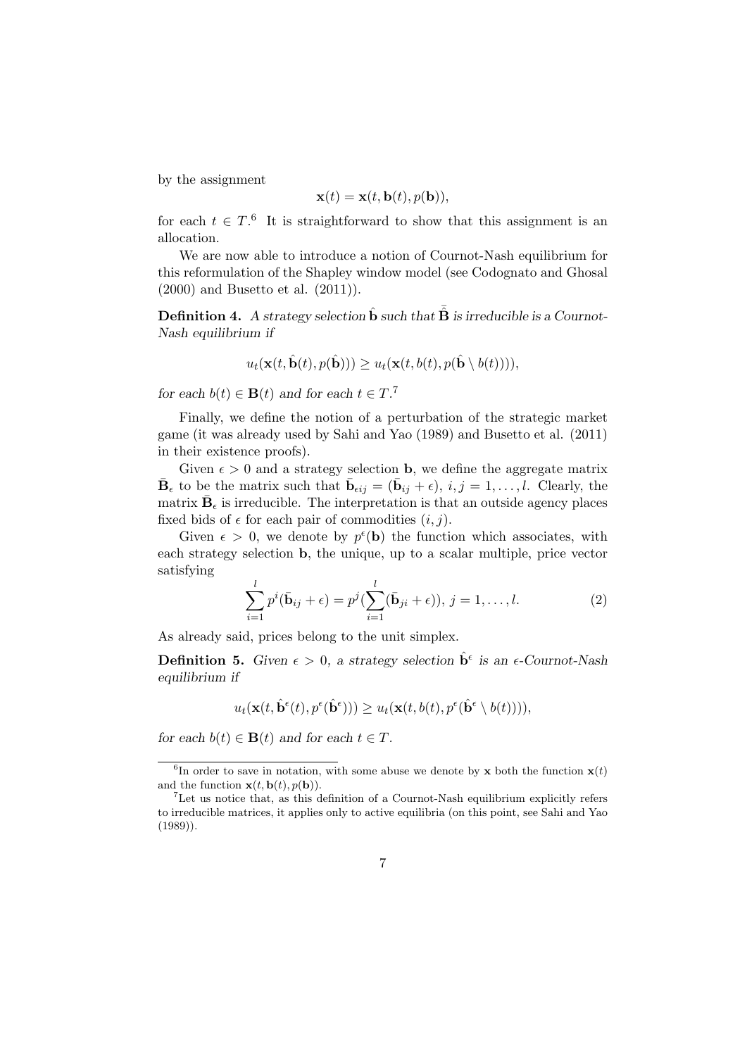by the assignment

$$
\mathbf{x}(t) = \mathbf{x}(t, \mathbf{b}(t), p(\mathbf{b})),
$$

for each  $t \in T$ .<sup>6</sup> It is straightforward to show that this assignment is an allocation.

We are now able to introduce a notion of Cournot-Nash equilibrium for this reformulation of the Shapley window model (see Codognato and Ghosal (2000) and Busetto et al. (2011)).

**Definition 4.** A strategy selection  $\hat{\mathbf{b}}$  such that  $\hat{\mathbf{B}}$  is irreducible is a Cournot-Nash equilibrium if

$$
u_t(\mathbf{x}(t,\hat{\mathbf{b}}(t),p(\hat{\mathbf{b}}))) \geq u_t(\mathbf{x}(t,b(t),p(\hat{\mathbf{b}} \setminus b(t))))
$$

for each  $b(t) \in \mathbf{B}(t)$  and for each  $t \in T$ .<sup>7</sup>

Finally, we define the notion of a perturbation of the strategic market game (it was already used by Sahi and Yao (1989) and Busetto et al. (2011) in their existence proofs).

Given  $\epsilon > 0$  and a strategy selection **b**, we define the aggregate matrix  $\bar{\mathbf{B}}_{\epsilon}$  to be the matrix such that  $\bar{\mathbf{b}}_{\epsilon ij} = (\bar{\mathbf{b}}_{ij} + \epsilon), i, j = 1, \ldots, l$ . Clearly, the matrix  $\bar{\mathbf{B}}_{\epsilon}$  is irreducible. The interpretation is that an outside agency places fixed bids of  $\epsilon$  for each pair of commodities  $(i, j)$ .

Given  $\epsilon > 0$ , we denote by  $p^{\epsilon}(\mathbf{b})$  the function which associates, with each strategy selection b, the unique, up to a scalar multiple, price vector satisfying

$$
\sum_{i=1}^{l} p^{i}(\bar{\mathbf{b}}_{ij} + \epsilon) = p^{j}(\sum_{i=1}^{l} (\bar{\mathbf{b}}_{ji} + \epsilon)), j = 1, ..., l.
$$
 (2)

As already said, prices belong to the unit simplex.

**Definition 5.** Given  $\epsilon > 0$ , a strategy selection  $\hat{\mathbf{b}}^{\epsilon}$  is an  $\epsilon$ -Cournot-Nash equilibrium if

$$
u_t(\mathbf{x}(t,\hat{\mathbf{b}}^{\epsilon}(t),p^{\epsilon}(\hat{\mathbf{b}}^{\epsilon}))) \geq u_t(\mathbf{x}(t,b(t),p^{\epsilon}(\hat{\mathbf{b}}^{\epsilon} \setminus b(t)))),
$$

for each  $b(t) \in \mathbf{B}(t)$  and for each  $t \in T$ .

<sup>&</sup>lt;sup>6</sup>In order to save in notation, with some abuse we denote by **x** both the function  $\mathbf{x}(t)$ and the function  $\mathbf{x}(t, \mathbf{b}(t), p(\mathbf{b})).$ 

<sup>7</sup>Let us notice that, as this definition of a Cournot-Nash equilibrium explicitly refers to irreducible matrices, it applies only to active equilibria (on this point, see Sahi and Yao (1989)).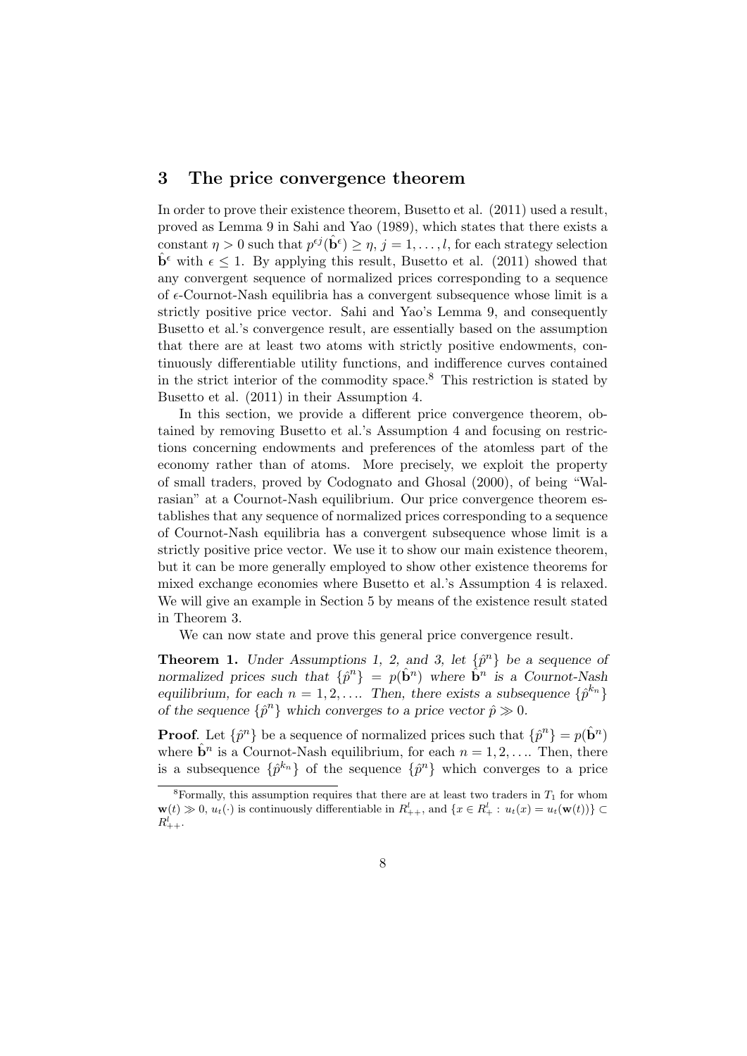### 3 The price convergence theorem

In order to prove their existence theorem, Busetto et al. (2011) used a result, proved as Lemma 9 in Sahi and Yao (1989), which states that there exists a constant  $\eta > 0$  such that  $p^{\epsilon j}(\hat{\mathbf{b}}^{\epsilon}) \geq \eta$ ,  $j = 1, \ldots, l$ , for each strategy selection  $\hat{\mathbf{b}}^{\epsilon}$  with  $\epsilon \leq 1$ . By applying this result, Busetto et al. (2011) showed that any convergent sequence of normalized prices corresponding to a sequence of  $\epsilon$ -Cournot-Nash equilibria has a convergent subsequence whose limit is a strictly positive price vector. Sahi and Yao's Lemma 9, and consequently Busetto et al.'s convergence result, are essentially based on the assumption that there are at least two atoms with strictly positive endowments, continuously differentiable utility functions, and indifference curves contained in the strict interior of the commodity space. $8$  This restriction is stated by Busetto et al. (2011) in their Assumption 4.

In this section, we provide a different price convergence theorem, obtained by removing Busetto et al.'s Assumption 4 and focusing on restrictions concerning endowments and preferences of the atomless part of the economy rather than of atoms. More precisely, we exploit the property of small traders, proved by Codognato and Ghosal (2000), of being "Walrasian" at a Cournot-Nash equilibrium. Our price convergence theorem establishes that any sequence of normalized prices corresponding to a sequence of Cournot-Nash equilibria has a convergent subsequence whose limit is a strictly positive price vector. We use it to show our main existence theorem, but it can be more generally employed to show other existence theorems for mixed exchange economies where Busetto et al.'s Assumption 4 is relaxed. We will give an example in Section 5 by means of the existence result stated in Theorem 3.

We can now state and prove this general price convergence result.

**Theorem 1.** Under Assumptions 1, 2, and 3, let  $\{\hat{p}^n\}$  be a sequence of normalized prices such that  $\{\hat{p}^n\} = p(\hat{\mathbf{b}}^n)$  where  $\hat{\mathbf{b}}^n$  is a Cournot-Nash equilibrium, for each  $n = 1, 2, \ldots$  Then, there exists a subsequence  $\{\hat{p}^{k_n}\}$ of the sequence  $\{\hat{p}^n\}$  which converges to a price vector  $\hat{p} \gg 0$ .

**Proof.** Let  $\{\hat{p}^n\}$  be a sequence of normalized prices such that  $\{\hat{p}^n\} = p(\hat{\mathbf{b}}^n)$ where  $\hat{\mathbf{b}}^n$  is a Cournot-Nash equilibrium, for each  $n = 1, 2, \ldots$  Then, there is a subsequence  $\{\hat{p}^{k_n}\}\$  of the sequence  $\{\hat{p}^n\}$  which converges to a price

<sup>&</sup>lt;sup>8</sup>Formally, this assumption requires that there are at least two traders in  $T_1$  for whom  $\mathbf{w}(t) \gg 0, u_t(\cdot)$  is continuously differentiable in  $R_{++}^l$ , and  $\{x \in R_+^l : u_t(x) = u_t(\mathbf{w}(t))\} \subset$  $R^l_{++}.$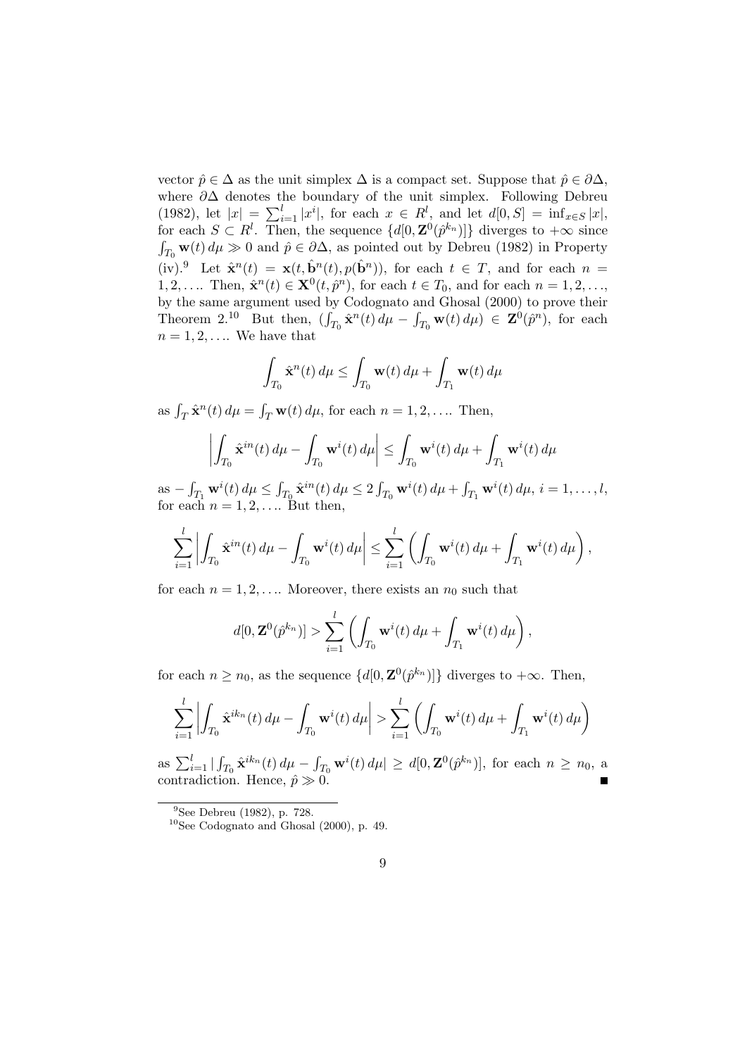vector  $\hat{p} \in \Delta$  as the unit simplex  $\Delta$  is a compact set. Suppose that  $\hat{p} \in \partial \Delta$ , where  $\partial\Delta$  denotes the boundary of the unit simplex. Following Debreu (1982), let  $|x| = \sum_{i=1}^{l} |x^i|$ , for each  $x \in R^l$ , and let  $d[0, S] = \inf_{x \in S} |x|$ , for each  $S \subset R^l$ . Then, the sequence  $\{d[0, \mathbf{Z}^0(\hat{p}^{k_n})]\}$  diverges to  $+\infty$  since  $\int_{T_0}$  w(t)  $d\mu \gg 0$  and  $\hat{p} \in \partial \Delta$ , as pointed out by Debreu (1982) in Property  $(iv).^{9}$  Let  $\hat{\mathbf{x}}^{n}(t) = \mathbf{x}(t, \hat{\mathbf{b}}^{n}(t), p(\hat{\mathbf{b}}^{n}))$ , for each  $t \in T$ , and for each  $n =$  $1, 2, \ldots$  Then,  $\hat{\mathbf{x}}^n(t) \in \mathbf{X}^0(t, \hat{p}^n)$ , for each  $t \in T_0$ , and for each  $n = 1, 2, \ldots$ , by the same argument used by Codognato and Ghosal (2000) to prove their Theorem 2.<sup>10</sup> But then,  $(\int_{T_0} \hat{\mathbf{x}}^n(t) d\mu - \int_{T_0} \mathbf{w}(t) d\mu) \in \mathbf{Z}^0(\hat{p}^n)$ , for each  $n = 1, 2, \ldots$  We have that

$$
\int_{T_0} \hat{\mathbf{x}}^n(t) d\mu \le \int_{T_0} \mathbf{w}(t) d\mu + \int_{T_1} \mathbf{w}(t) d\mu
$$

as  $\int_T \hat{\mathbf{x}}^n(t) d\mu = \int_T \mathbf{w}(t) d\mu$ , for each  $n = 1, 2, \dots$  Then,

$$
\left| \int_{T_0} \hat{\mathbf{x}}^{in}(t) d\mu - \int_{T_0} \mathbf{w}^i(t) d\mu \right| \le \int_{T_0} \mathbf{w}^i(t) d\mu + \int_{T_1} \mathbf{w}^i(t) d\mu
$$

as  $-\int_{T_1} \mathbf{w}^i(t) d\mu \le \int_{T_0} \hat{\mathbf{x}}^{in}(t) d\mu \le 2 \int_{T_0} \mathbf{w}^i(t) d\mu + \int_{T_1} \mathbf{w}^i(t) d\mu, i = 1, \dots, l$ for each  $n = 1, 2, \ldots$  But then,

$$
\sum_{i=1}^l \left| \int_{T_0} \hat{\mathbf{x}}^{in}(t) \, d\mu - \int_{T_0} \mathbf{w}^i(t) \, d\mu \right| \le \sum_{i=1}^l \left( \int_{T_0} \mathbf{w}^i(t) \, d\mu + \int_{T_1} \mathbf{w}^i(t) \, d\mu \right),
$$

for each  $n = 1, 2, \ldots$  Moreover, there exists an  $n_0$  such that

$$
d[0, \mathbf{Z}^0(\hat{p}^{k_n})] > \sum_{i=1}^l \left( \int_{T_0} \mathbf{w}^i(t) d\mu + \int_{T_1} \mathbf{w}^i(t) d\mu \right),
$$

for each  $n \geq n_0$ , as the sequence  $\{d[0, \mathbf{Z}^{(0)}(\hat{p}^{k_n})]\}$  diverges to  $+\infty$ . Then,

$$
\sum_{i=1}^{l} \left| \int_{T_0} \hat{\mathbf{x}}^{ik_n}(t) d\mu - \int_{T_0} \mathbf{w}^i(t) d\mu \right| > \sum_{i=1}^{l} \left( \int_{T_0} \mathbf{w}^i(t) d\mu + \int_{T_1} \mathbf{w}^i(t) d\mu \right)
$$

as  $\sum_{i=1}^{l} | \int_{T_0} \hat{\mathbf{x}}^{ik_n}(t) d\mu - \int_{T_0} \mathbf{w}^i(t) d\mu | \geq d[0, \mathbf{Z}^0(\hat{p}^{k_n})],$  for each  $n \geq n_0$ , a contradiction. Hence,  $\hat{p} \gg 0$ .

<sup>9</sup>See Debreu (1982), p. 728.

 $10$ See Codognato and Ghosal (2000), p. 49.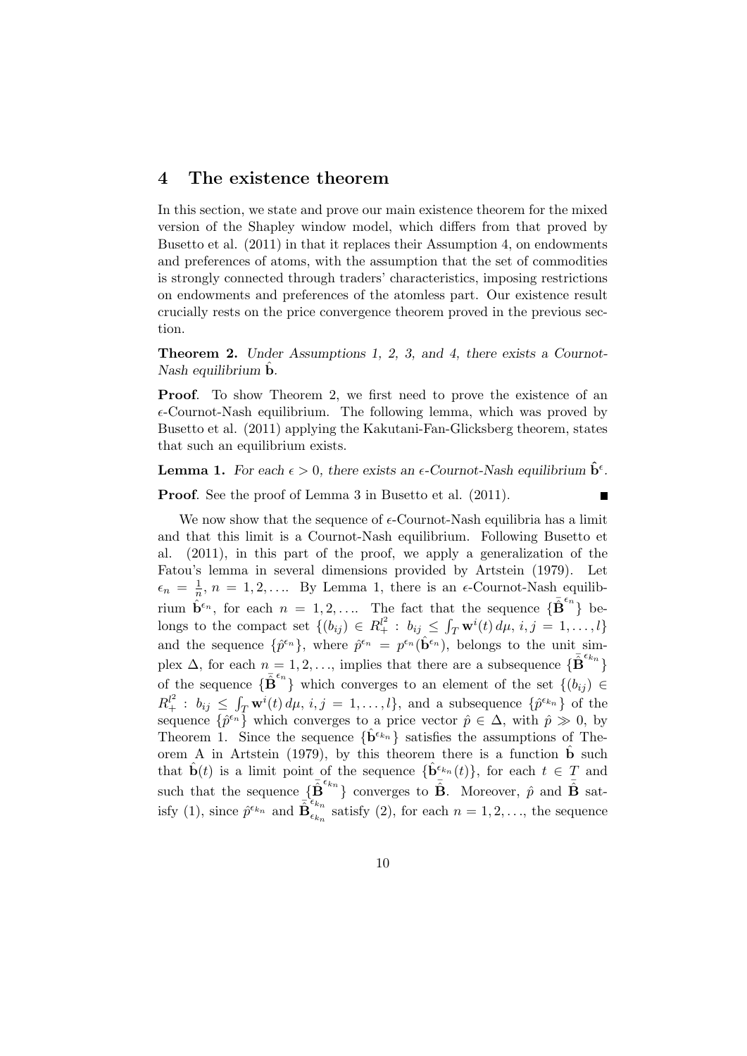### 4 The existence theorem

In this section, we state and prove our main existence theorem for the mixed version of the Shapley window model, which differs from that proved by Busetto et al. (2011) in that it replaces their Assumption 4, on endowments and preferences of atoms, with the assumption that the set of commodities is strongly connected through traders' characteristics, imposing restrictions on endowments and preferences of the atomless part. Our existence result crucially rests on the price convergence theorem proved in the previous section.

Theorem 2. Under Assumptions 1, 2, 3, and 4, there exists a Cournot-Nash equilibrium  $\hat{\mathbf{b}}$ .

**Proof.** To show Theorem 2, we first need to prove the existence of an  $\epsilon$ -Cournot-Nash equilibrium. The following lemma, which was proved by Busetto et al. (2011) applying the Kakutani-Fan-Glicksberg theorem, states that such an equilibrium exists.

**Lemma 1.** For each  $\epsilon > 0$ , there exists an  $\epsilon$ -Cournot-Nash equilibrium  $\hat{\mathbf{b}}^{\epsilon}$ .

Proof. See the proof of Lemma 3 in Busetto et al. (2011).

We now show that the sequence of  $\epsilon$ -Cournot-Nash equilibria has a limit and that this limit is a Cournot-Nash equilibrium. Following Busetto et al. (2011), in this part of the proof, we apply a generalization of the Fatou's lemma in several dimensions provided by Artstein (1979). Let  $\epsilon_n = \frac{1}{n}, n = 1, 2, \ldots$  By Lemma 1, there is an  $\epsilon$ -Cournot-Nash equilib- $\hat{\mathbf{e}}_n = \frac{1}{n}, n = 1, 2, \dots$  by Bennia 1, there is an e-Cournot-Nash equino-<br>rium  $\hat{\mathbf{b}}^{\epsilon_n}$ , for each  $n = 1, 2, \dots$  The fact that the sequence  $\{\mathbf{\bar{B}}^{\epsilon_n}\}$  belongs to the compact set  $\{(b_{ij}) \in R_+^{l^2} : b_{ij} \leq \int_T \mathbf{w}^i(t) d\mu, i, j = 1, \ldots, l\}$ and the sequence  $\{\hat{p}^{\epsilon_n}\}\,$ , where  $\hat{p}^{\epsilon_n} = p^{\epsilon_n}(\hat{\mathbf{b}}^{\epsilon_n})\,$ , belongs to the unit simplex  $\Delta$ , for each  $n = 1, 2, \ldots$ , implies that there are a subsequence  $\{\bar{\mathbf{B}}^{\epsilon_{k_n}}\}$ of the sequence  $\{\bar{\mathbf{B}}^{\epsilon_n}\}\$  which converges to an element of the set  $\{(b_{ij}) \in$  $R_+^{l^2}: b_{ij} \leq \int_T \mathbf{w}^i(t) d\mu, i, j = 1, \ldots, l$ , and a subsequence  $\{\hat{p}^{\epsilon_{k_n}}\}$  of the sequence  $\{\hat{p}^{\epsilon_n}\}\$  which converges to a price vector  $\hat{p} \in \Delta$ , with  $\hat{p} \gg 0$ , by Theorem 1. Since the sequence  $\{\hat{\mathbf{b}}^{\epsilon_{k_n}}\}$  satisfies the assumptions of Theorem A in Artstein (1979), by this theorem there is a function  $\dot{\mathbf{b}}$  such that  $\mathbf{b}(t)$  is a limit point of the sequence  $\{\mathbf{b}^{\epsilon_{k_n}}(t)\}\text{, for each } t \in T \text{ and }$ such that the sequence  $\{\tilde{\mathbf{B}}^{\epsilon_{k_n}}\}$  converges to  $\tilde{\mathbf{B}}$ . Moreover,  $\hat{p}$  and  $\tilde{\mathbf{B}}$  satisfy (1), since  $\hat{p}^{\epsilon_{k_n}}$  and  $\overrightarrow{\mathbf{B}}_{\epsilon_k}^{\epsilon_{k_n}}$  $\sum_{\epsilon_{k_n}}^{n_n}$  satisfy (2), for each  $n = 1, 2, \ldots$ , the sequence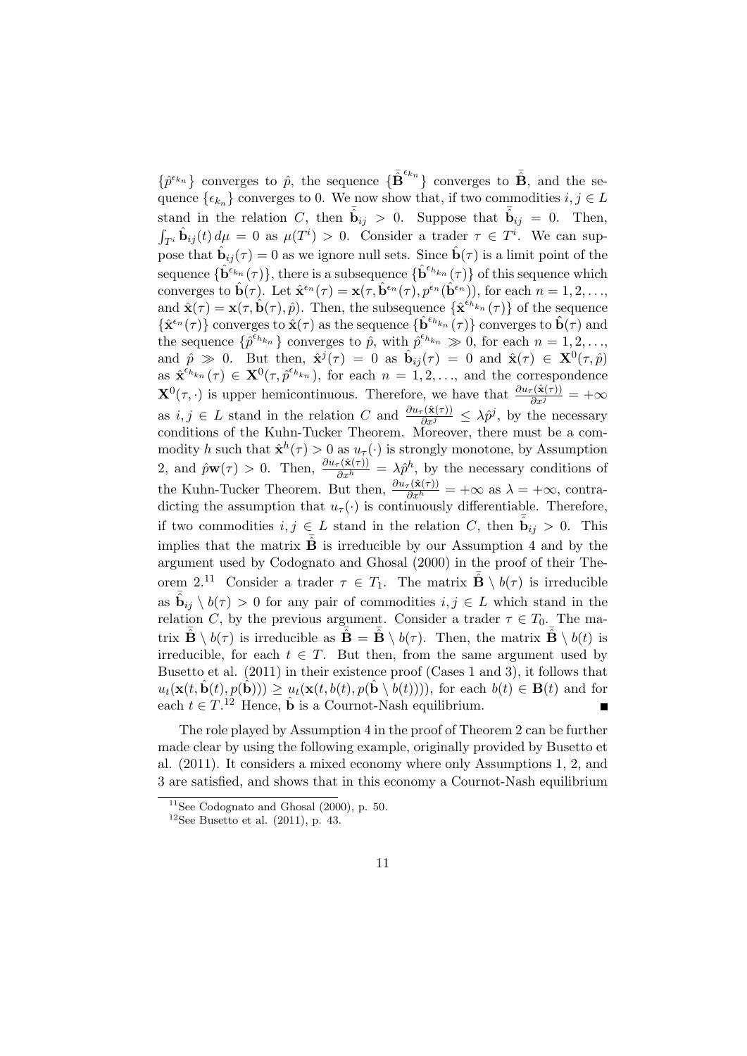$\{\hat{p}^{\epsilon_{k_n}}\}$  converges to  $\hat{p}$ , the sequence  $\{\bar{\mathbf{B}}^{\epsilon_{k_n}}\}$  converges to  $\bar{\mathbf{B}}$ , and the sequence  $\{\epsilon_{k_n}\}\)$  converges to 0. We now show that, if two commodities  $i, j \in L$ stand in the relation C, then  $\bar{\hat{\mathbf{b}}}_{ij} > 0$ . Suppose that  $\bar{\hat{\mathbf{b}}}_{ij} = 0$ . Then,  $\int_{T^i} \hat{\mathbf{b}}_{ij}(t) d\mu = 0$  as  $\mu(T^i) > 0$ . Consider a trader  $\tau \in T^i$ . We can suppose that  $\hat{\mathbf{b}}_{ij}(\tau) = 0$  as we ignore null sets. Since  $\hat{\mathbf{b}}(\tau)$  is a limit point of the sequence  $\{\hat{\mathbf{b}}^{\epsilon_{k_n}}(\tau)\}\)$ , there is a subsequence  $\{\hat{\mathbf{b}}^{\epsilon_{k_n}}(\tau)\}\)$  of this sequence which converges to  $\hat{\mathbf{b}}(\tau)$ . Let  $\hat{\mathbf{x}}^{\epsilon_n}(\tau) = \mathbf{x}(\tau, \hat{\mathbf{b}}^{\epsilon_n}(\tau), p^{\epsilon_n}(\hat{\mathbf{b}}^{\epsilon_n}))$ , for each  $n = 1, 2, ...,$ and  $\hat{\mathbf{x}}(\tau) = \mathbf{x}(\tau, \hat{\mathbf{b}}(\tau), \hat{p})$ . Then, the subsequence  $\{\hat{\mathbf{x}}^{\epsilon_{h}}_{k}(\tau)\}$  of the sequence  $\{\hat{\mathbf{x}}^{\epsilon_n}(\tau)\}\)$  converges to  $\hat{\mathbf{x}}(\tau)$  as the sequence  $\{\hat{\mathbf{b}}^{\epsilon_{h_{k_n}}}(\tau)\}\)$  converges to  $\hat{\mathbf{b}}(\tau)$  and the sequence  $\{\hat{p}^{\epsilon_{h_{k_n}}}\}\)$  converges to  $\hat{p}$ , with  $\hat{p}^{\epsilon_{h_{k_n}}}\gg 0$ , for each  $n=1,2,...,$ and  $\hat{p} \gg 0$ . But then,  $\hat{\mathbf{x}}^j(\tau) = 0$  as  $\hat{\mathbf{b}}_{ij}(\tau) = 0$  and  $\hat{\mathbf{x}}(\tau) \in \mathbf{X}^0(\tau, \hat{p})$ as  $\hat{\mathbf{x}}^{\hat{\epsilon}_{h_{k_n}}}(\tau) \in \mathbf{X}^0(\tau, \hat{p}^{\epsilon_{h_{k_n}}})$ , for each  $n = 1, 2, \ldots$ , and the correspondence  $\mathbf{X}^{0}(\tau,\cdot)$  is upper hemicontinuous. Therefore, we have that  $\frac{\partial u_{\tau}(\hat{\mathbf{x}}(\tau))}{\partial x^{j}} = +\infty$ as  $i, j \in L$  stand in the relation C and  $\frac{\partial u_{\tau}(\hat{\mathbf{x}}(\tau))}{\partial x^{j}} \leq \lambda \hat{p}^{j}$ , by the necessary conditions of the Kuhn-Tucker Theorem. Moreover, there must be a commodity h such that  $\hat{\mathbf{x}}^h(\tau) > 0$  as  $u_\tau(\cdot)$  is strongly monotone, by Assumption 2, and  $\hat{p}\mathbf{w}(\tau) > 0$ . Then,  $\frac{\partial u_{\tau}(\hat{\mathbf{x}}(\tau))}{\partial x^h} = \lambda \hat{p}^h$ , by the necessary conditions of the Kuhn-Tucker Theorem. But then,  $\frac{\partial u_\tau(\hat{\mathbf{x}}(\tau))}{\partial x^h} = +\infty$  as  $\lambda = +\infty$ , contradicting the assumption that  $u_{\tau}(\cdot)$  is continuously differentiable. Therefore, if two commodities  $i, j \in L$  stand in the relation C, then  $\bar{\hat{\mathbf{b}}}_{ij} > 0$ . This implies that the matrix  $\hat{\mathbf{B}}$  is irreducible by our Assumption 4 and by the argument used by Codognato and Ghosal (2000) in the proof of their Theorem 2.<sup>11</sup> Consider a trader  $\tau \in T_1$ . The matrix  $\hat{\mathbf{B}} \setminus b(\tau)$  is irreducible as  $\bar{\hat{\mathbf{b}}}_{ij} \setminus b(\tau) > 0$  for any pair of commodities  $i, j \in L$  which stand in the relation C, by the previous argument. Consider a trader  $\tau \in T_0$ . The matrix  $\overline{\hat{\mathbf{B}}} \setminus b(\tau)$  is irreducible as  $\overline{\hat{\mathbf{B}}} = \overline{\hat{\mathbf{B}}} \setminus b(\tau)$ . Then, the matrix  $\overline{\hat{\mathbf{B}}} \setminus b(t)$  is irreducible, for each  $t \in T$ . But then, from the same argument used by Busetto et al. (2011) in their existence proof (Cases 1 and 3), it follows that  $u_t(\mathbf{x}(t, \hat{\mathbf{b}}(t), p(\hat{\mathbf{b}}))) > u_t(\mathbf{x}(t, b(t), p(\hat{\mathbf{b}} \setminus b(t))))$ , for each  $b(t) \in \mathbf{B}(t)$  and for each  $t \in T$ .<sup>12</sup> Hence,  $\hat{\mathbf{b}}$  is a Cournot-Nash equilibrium.  $\blacksquare$ 

The role played by Assumption 4 in the proof of Theorem 2 can be further made clear by using the following example, originally provided by Busetto et al. (2011). It considers a mixed economy where only Assumptions 1, 2, and 3 are satisfied, and shows that in this economy a Cournot-Nash equilibrium

 $11$ See Codognato and Ghosal (2000), p. 50.

 $12$ See Busetto et al. (2011), p. 43.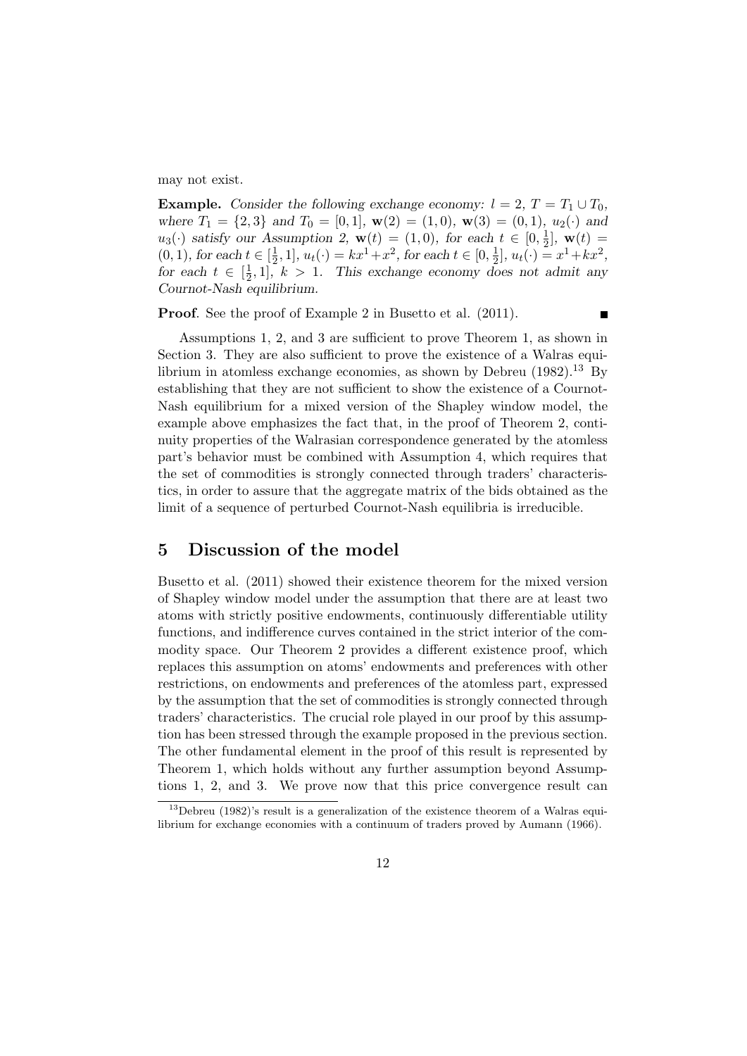may not exist.

**Example.** Consider the following exchange economy:  $l = 2$ ,  $T = T_1 \cup T_0$ , where  $T_1 = \{2, 3\}$  and  $T_0 = [0, 1]$ ,  $\mathbf{w}(2) = (1, 0)$ ,  $\mathbf{w}(3) = (0, 1)$ ,  $u_2(\cdot)$  and  $u_3(\cdot)$  satisfy our Assumption 2,  $\mathbf{w}(t) = (1,0)$ , for each  $t \in [0, \frac{1}{2}]$  $(\frac{1}{2}], \mathbf{w}(t) =$  $(0, 1)$ , for each  $t \in \left[\frac{1}{2}\right]$  $(\frac{1}{2}, 1], u_t(\cdot) = kx^1 + x^2$ , for each  $t \in [0, \frac{1}{2}]$  $\frac{1}{2}$ ,  $u_t(\cdot) = x^1 + kx^2$ , for each  $t \in \left[\frac{1}{2}\right]$  $\frac{1}{2}$ , 1, k > 1. This exchange economy does not admit any Cournot-Nash equilibrium.

Proof. See the proof of Example 2 in Busetto et al. (2011).

 $\blacksquare$ 

Assumptions 1, 2, and 3 are sufficient to prove Theorem 1, as shown in Section 3. They are also sufficient to prove the existence of a Walras equilibrium in atomless exchange economies, as shown by Debreu  $(1982).^{13}$  By establishing that they are not sufficient to show the existence of a Cournot-Nash equilibrium for a mixed version of the Shapley window model, the example above emphasizes the fact that, in the proof of Theorem 2, continuity properties of the Walrasian correspondence generated by the atomless part's behavior must be combined with Assumption 4, which requires that the set of commodities is strongly connected through traders' characteristics, in order to assure that the aggregate matrix of the bids obtained as the limit of a sequence of perturbed Cournot-Nash equilibria is irreducible.

## 5 Discussion of the model

Busetto et al. (2011) showed their existence theorem for the mixed version of Shapley window model under the assumption that there are at least two atoms with strictly positive endowments, continuously differentiable utility functions, and indifference curves contained in the strict interior of the commodity space. Our Theorem 2 provides a different existence proof, which replaces this assumption on atoms' endowments and preferences with other restrictions, on endowments and preferences of the atomless part, expressed by the assumption that the set of commodities is strongly connected through traders' characteristics. The crucial role played in our proof by this assumption has been stressed through the example proposed in the previous section. The other fundamental element in the proof of this result is represented by Theorem 1, which holds without any further assumption beyond Assumptions 1, 2, and 3. We prove now that this price convergence result can

 $13$ Debreu (1982)'s result is a generalization of the existence theorem of a Walras equilibrium for exchange economies with a continuum of traders proved by Aumann (1966).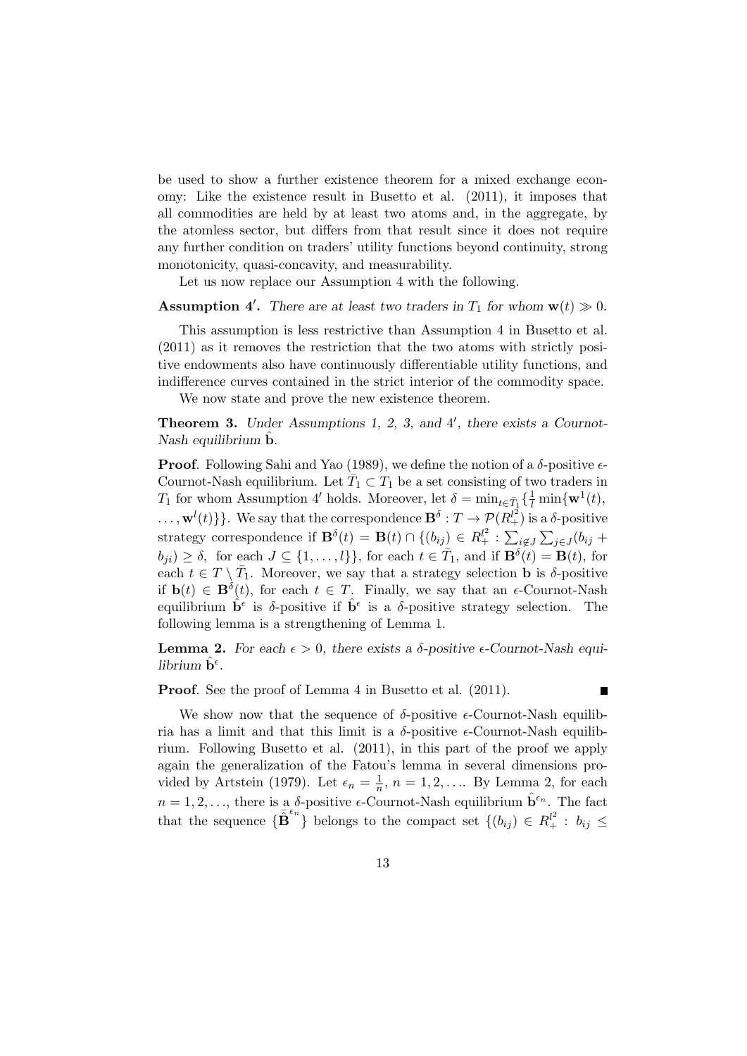be used to show a further existence theorem for a mixed exchange economy: Like the existence result in Busetto et al. (2011), it imposes that all commodities are held by at least two atoms and, in the aggregate, by the atomless sector, but differs from that result since it does not require any further condition on traders' utility functions beyond continuity, strong monotonicity, quasi-concavity, and measurability.

Let us now replace our Assumption 4 with the following.

**Assumption 4'.** There are at least two traders in  $T_1$  for whom  $\mathbf{w}(t) \gg 0$ .

This assumption is less restrictive than Assumption 4 in Busetto et al. (2011) as it removes the restriction that the two atoms with strictly positive endowments also have continuously differentiable utility functions, and indifference curves contained in the strict interior of the commodity space.

We now state and prove the new existence theorem.

**Theorem 3.** Under Assumptions 1, 2, 3, and 4', there exists a Cournot-Nash equilibrium  $\mathbf b$ .

**Proof.** Following Sahi and Yao (1989), we define the notion of a  $\delta$ -positive  $\epsilon$ -Cournot-Nash equilibrium. Let  $\overline{T}_1 \subset T_1$  be a set consisting of two traders in  $T_1$  for whom Assumption 4' holds. Moreover, let  $\delta = \min_{t \in \bar{T}_1} \{ \frac{1}{l} \min\{\mathbf{w}^1(t), \dots, \mathbf{w}^1(t)\} \}$  $\ldots, \mathbf{w}^l(t) \}$ . We say that the correspondence  $\mathbf{B}^\delta: T \to \mathcal{P}(R_+^{l^2})$  is a  $\delta$ -positive strategy correspondence if  $\mathbf{B}^{\delta}(t) = \mathbf{B}(t) \cap \{(b_{ij}) \in R_+^{l^2} : \sum_{i \notin J} \sum_{j \in J} (b_{ij} +$  $b_{ji}$   $\geq \delta$ , for each  $J \subseteq \{1, \ldots, l\}$ , for each  $t \in \overline{T}_1$ , and if  $\mathbf{B}^{\delta}(t) = \mathbf{B}(t)$ , for each  $t \in T \setminus \overline{T}_1$ . Moreover, we say that a strategy selection **b** is  $\delta$ -positive if  $\mathbf{b}(t) \in \mathbf{B}^{\delta}(t)$ , for each  $t \in T$ . Finally, we say that an  $\epsilon$ -Cournot-Nash equilibrium  $\hat{\mathbf{b}}^{\epsilon}$  is  $\delta$ -positive if  $\hat{\mathbf{b}}^{\epsilon}$  is a  $\delta$ -positive strategy selection. The following lemma is a strengthening of Lemma 1.

**Lemma 2.** For each  $\epsilon > 0$ , there exists a  $\delta$ -positive  $\epsilon$ -Cournot-Nash equilibrium  $\hat{\mathbf{b}}^{\epsilon}$ .

Proof. See the proof of Lemma 4 in Busetto et al. (2011).

Г

We show now that the sequence of  $\delta$ -positive  $\epsilon$ -Cournot-Nash equilibria has a limit and that this limit is a  $\delta$ -positive  $\epsilon$ -Cournot-Nash equilibrium. Following Busetto et al. (2011), in this part of the proof we apply again the generalization of the Fatou's lemma in several dimensions provided by Artstein (1979). Let  $\epsilon_n = \frac{1}{n}$  $\frac{1}{n}$ ,  $n = 1, 2, \dots$  By Lemma 2, for each  $n = 1, 2, \ldots$ , there is a  $\delta$ -positive  $\epsilon$ -Cournot-Nash equilibrium  $\hat{\mathbf{b}}^{\epsilon_n}$ . The fact that the sequence  $\{\overline{\mathbf{B}}^{\epsilon_n}\}\$  belongs to the compact set  $\{(b_{ij}) \in R_+^l : b_{ij} \leq$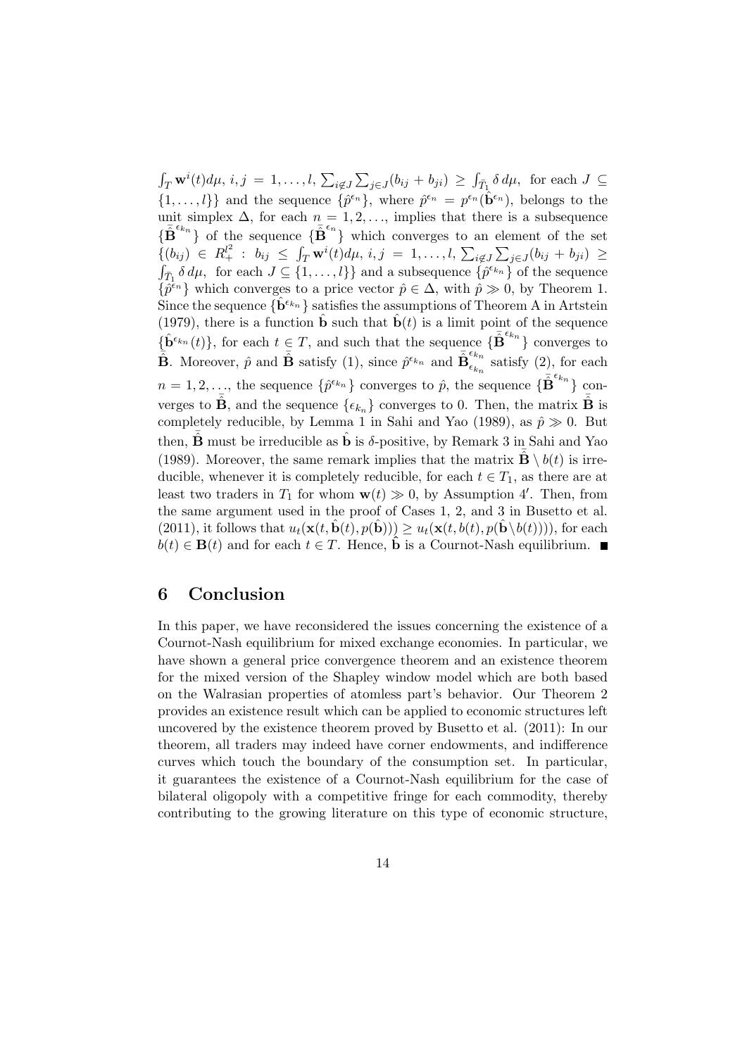$\int_T \mathbf{w}^i(t) d\mu$ ,  $i, j = 1, \ldots, l$ ,  $\sum_{i \notin J} \sum_{j \in J} (b_{ij} + b_{ji}) \ge \int_{\bar{T}_1} \delta d\mu$ , for each  $J \subseteq$  $\{1,\ldots,l\}\}\$ and the sequence  $\{\hat{p}^{\epsilon_n}\}\$ , where  $\hat{p}^{\epsilon_n} = p^{\epsilon_n}(\hat{\mathbf{b}}^{\epsilon_n})\$ , belongs to the unit simplex  $\Delta$ , for each  $n = 1, 2, \ldots$ , implies that there is a subsequence  ${\{\bar{\mathbf{B}}^{\epsilon_{k_n}}\}}$  of the sequence  ${\{\bar{\mathbf{B}}^{\epsilon_n}\}}$  which converges to an element of the set  $\{ (b_{ij}) \in R_+^{l^2} : b_{ij} \leq \int_T \mathbf{w}^i(t) d\mu, i, j = 1, \ldots, l, \sum_{i \notin J} \sum_{j \in J} (b_{ij} + b_{ji}) \geq$  $\{\hat{p}^{\epsilon_{k_n}}\}$  of the sequence  $\{\hat{p}^{\epsilon_{k_n}}\}$  of the sequence  $\{\hat{p}^{\epsilon_n}\}\$  which converges to a price vector  $\hat{p} \in \Delta$ , with  $\hat{p} \gg 0$ , by Theorem 1. Since the sequence  $\{\hat{\mathbf{b}}^{\epsilon_{k_n}}\}$  satisfies the assumptions of Theorem A in Artstein (1979), there is a function  $\hat{\mathbf{b}}$  such that  $\hat{\mathbf{b}}(t)$  is a limit point of the sequence  ${\{\hat{\mathbf{b}}^{\epsilon_{k_n}}(t)\}}$ , for each  $t \in T$ , and such that the sequence  ${\{\bar{\mathbf{B}}^{\epsilon_{k_n}}\}}$  converges to  $\hat{\mathbf{B}}$ . Moreover,  $\hat{p}$  and  $\bar{\mathbf{B}}$  satisfy (1), since  $\hat{p}^{\epsilon_{k_n}}$  and  $\bar{\mathbf{B}}_{\epsilon_k}^{\epsilon_{k_n}}$  $\epsilon_{k_n}^{n}$  satisfy  $(2)$ , for each  $n=1,2,\ldots$ , the sequence  $\{\hat{p}^{\epsilon_{k_n}}\}$  converges to  $\hat{p}$ , the sequence  $\{\bar{\mathbf{B}}^{\epsilon_{k_n}}\}$  converges to  $\tilde{\mathbf{B}}$ , and the sequence  $\{\epsilon_{k_n}\}$  converges to 0. Then, the matrix  $\tilde{\mathbf{B}}$  is completely reducible, by Lemma 1 in Sahi and Yao (1989), as  $\hat{p} \gg 0$ . But then,  $\hat{\mathbf{B}}$  must be irreducible as  $\hat{\mathbf{b}}$  is  $\delta$ -positive, by Remark 3 in Sahi and Yao (1989). Moreover, the same remark implies that the matrix  $\hat{\mathbf{B}} \setminus b(t)$  is irreducible, whenever it is completely reducible, for each  $t \in T_1$ , as there are at least two traders in  $T_1$  for whom  $\mathbf{w}(t) \gg 0$ , by Assumption 4'. Then, from the same argument used in the proof of Cases 1, 2, and 3 in Busetto et al. (2011), it follows that  $u_t(\mathbf{x}(t, \hat{\mathbf{b}}(t), p(\hat{\mathbf{b}}))) \geq u_t(\mathbf{x}(t, b(t), p(\hat{\mathbf{b}} \setminus b(t))))$ , for each  $b(t) \in \mathbf{B}(t)$  and for each  $t \in T$ . Hence,  $\hat{\mathbf{b}}$  is a Cournot-Nash equilibrium.

### 6 Conclusion

In this paper, we have reconsidered the issues concerning the existence of a Cournot-Nash equilibrium for mixed exchange economies. In particular, we have shown a general price convergence theorem and an existence theorem for the mixed version of the Shapley window model which are both based on the Walrasian properties of atomless part's behavior. Our Theorem 2 provides an existence result which can be applied to economic structures left uncovered by the existence theorem proved by Busetto et al. (2011): In our theorem, all traders may indeed have corner endowments, and indifference curves which touch the boundary of the consumption set. In particular, it guarantees the existence of a Cournot-Nash equilibrium for the case of bilateral oligopoly with a competitive fringe for each commodity, thereby contributing to the growing literature on this type of economic structure,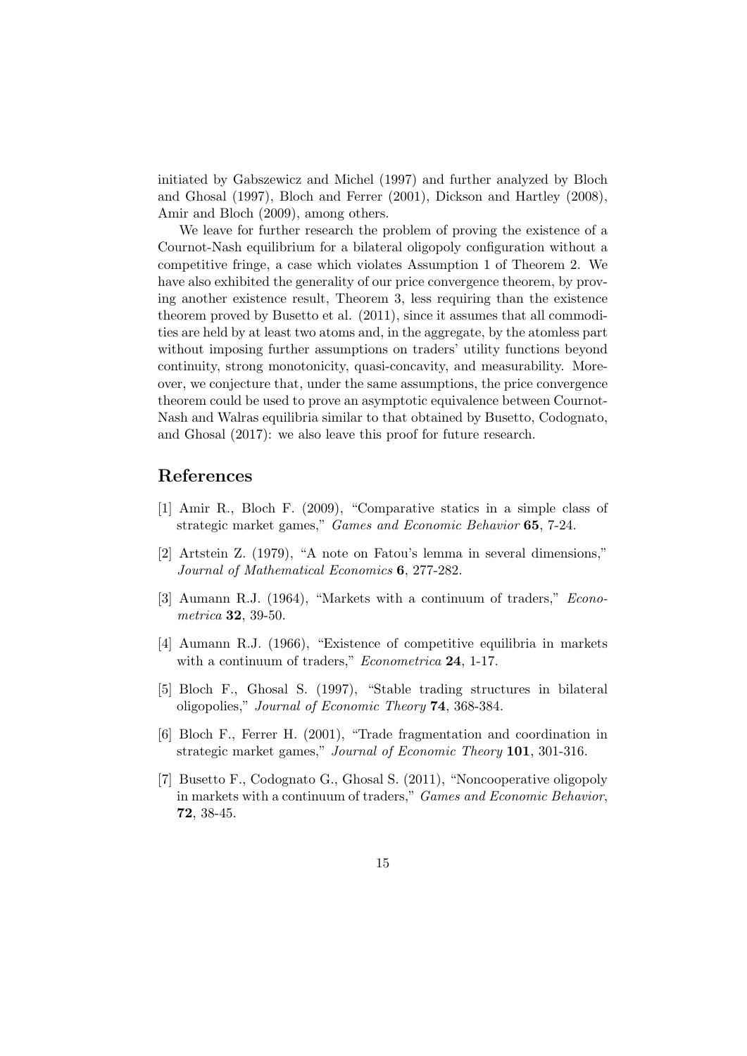initiated by Gabszewicz and Michel (1997) and further analyzed by Bloch and Ghosal (1997), Bloch and Ferrer (2001), Dickson and Hartley (2008), Amir and Bloch (2009), among others.

We leave for further research the problem of proving the existence of a Cournot-Nash equilibrium for a bilateral oligopoly configuration without a competitive fringe, a case which violates Assumption 1 of Theorem 2. We have also exhibited the generality of our price convergence theorem, by proving another existence result, Theorem 3, less requiring than the existence theorem proved by Busetto et al. (2011), since it assumes that all commodities are held by at least two atoms and, in the aggregate, by the atomless part without imposing further assumptions on traders' utility functions beyond continuity, strong monotonicity, quasi-concavity, and measurability. Moreover, we conjecture that, under the same assumptions, the price convergence theorem could be used to prove an asymptotic equivalence between Cournot-Nash and Walras equilibria similar to that obtained by Busetto, Codognato, and Ghosal (2017): we also leave this proof for future research.

### References

- [1] Amir R., Bloch F. (2009), "Comparative statics in a simple class of strategic market games," Games and Economic Behavior 65, 7-24.
- [2] Artstein Z. (1979), "A note on Fatou's lemma in several dimensions," Journal of Mathematical Economics 6, 277-282.
- [3] Aumann R.J. (1964), "Markets with a continuum of traders," Econometrica 32, 39-50.
- [4] Aumann R.J. (1966), "Existence of competitive equilibria in markets with a continuum of traders," *Econometrica* 24, 1-17.
- [5] Bloch F., Ghosal S. (1997), "Stable trading structures in bilateral oligopolies," Journal of Economic Theory 74, 368-384.
- [6] Bloch F., Ferrer H. (2001), "Trade fragmentation and coordination in strategic market games," Journal of Economic Theory 101, 301-316.
- [7] Busetto F., Codognato G., Ghosal S. (2011), "Noncooperative oligopoly in markets with a continuum of traders," Games and Economic Behavior, 72, 38-45.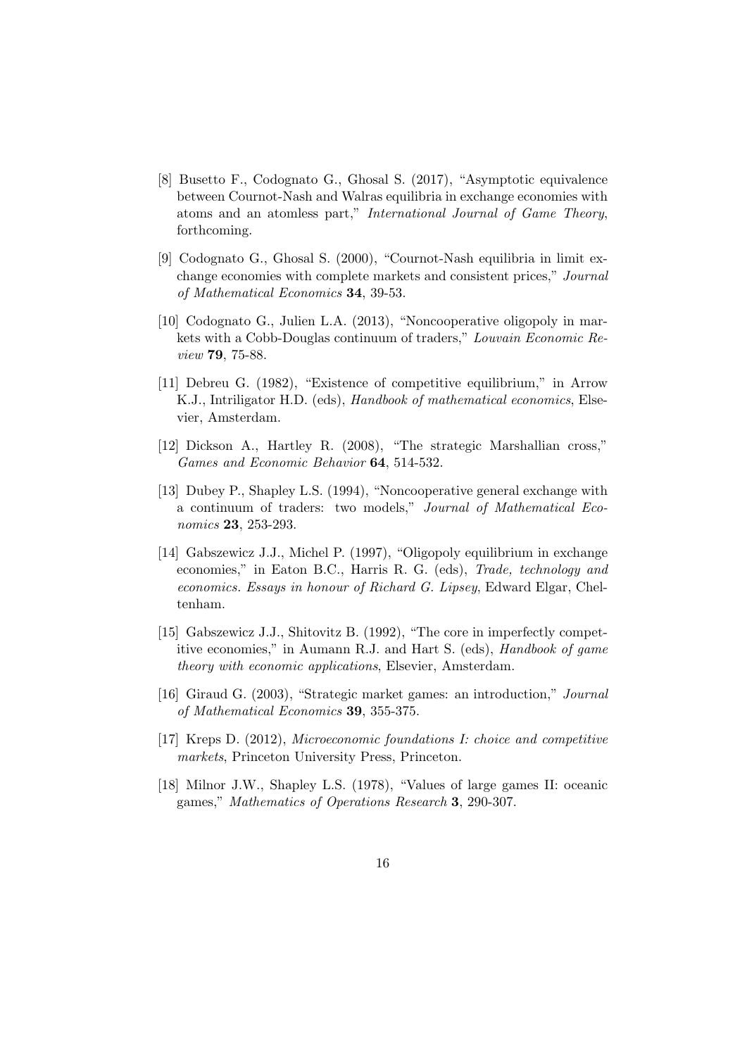- [8] Busetto F., Codognato G., Ghosal S. (2017), "Asymptotic equivalence between Cournot-Nash and Walras equilibria in exchange economies with atoms and an atomless part," International Journal of Game Theory, forthcoming.
- [9] Codognato G., Ghosal S. (2000), "Cournot-Nash equilibria in limit exchange economies with complete markets and consistent prices," Journal of Mathematical Economics 34, 39-53.
- [10] Codognato G., Julien L.A. (2013), "Noncooperative oligopoly in markets with a Cobb-Douglas continuum of traders," Louvain Economic Review 79, 75-88.
- [11] Debreu G. (1982), "Existence of competitive equilibrium," in Arrow K.J., Intriligator H.D. (eds), Handbook of mathematical economics, Elsevier, Amsterdam.
- [12] Dickson A., Hartley R. (2008), "The strategic Marshallian cross," Games and Economic Behavior 64, 514-532.
- [13] Dubey P., Shapley L.S. (1994), "Noncooperative general exchange with a continuum of traders: two models," Journal of Mathematical Economics 23, 253-293.
- [14] Gabszewicz J.J., Michel P. (1997), "Oligopoly equilibrium in exchange economies," in Eaton B.C., Harris R. G. (eds), Trade, technology and economics. Essays in honour of Richard G. Lipsey, Edward Elgar, Cheltenham.
- [15] Gabszewicz J.J., Shitovitz B. (1992), "The core in imperfectly competitive economies," in Aumann R.J. and Hart S. (eds), Handbook of game theory with economic applications, Elsevier, Amsterdam.
- [16] Giraud G. (2003), "Strategic market games: an introduction," Journal of Mathematical Economics 39, 355-375.
- [17] Kreps D. (2012), Microeconomic foundations I: choice and competitive markets, Princeton University Press, Princeton.
- [18] Milnor J.W., Shapley L.S. (1978), "Values of large games II: oceanic games," Mathematics of Operations Research 3, 290-307.